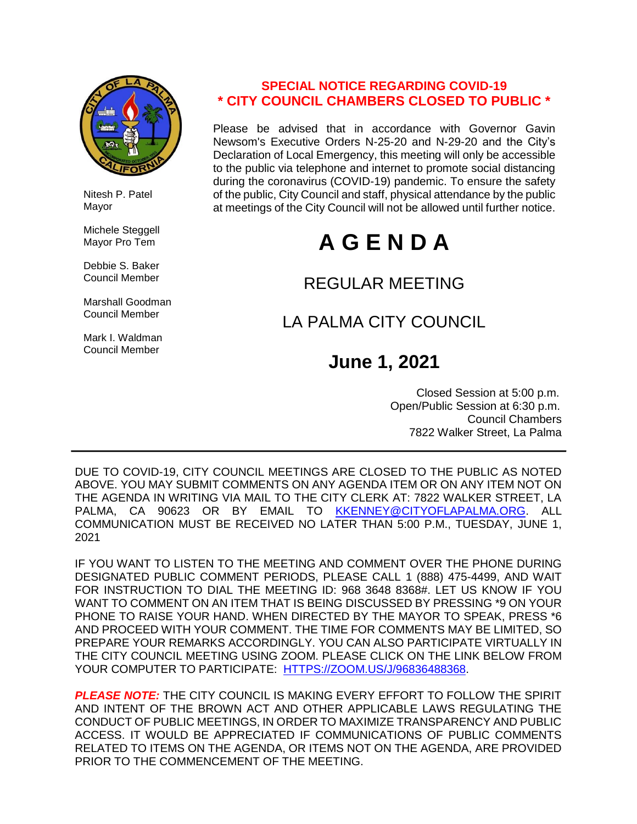

 Nitesh P. Patel Mayor

 Michele Steggell Mayor Pro Tem

 Debbie S. Baker Council Member

 Marshall Goodman Council Member

 Mark I. Waldman Council Member

# **SPECIAL NOTICE REGARDING COVID-19 \* CITY COUNCIL CHAMBERS CLOSED TO PUBLIC \***

Please be advised that in accordance with Governor Gavin Newsom's Executive Orders N-25-20 and N-29-20 and the City's Declaration of Local Emergency, this meeting will only be accessible to the public via telephone and internet to promote social distancing during the coronavirus (COVID-19) pandemic. To ensure the safety of the public, City Council and staff, physical attendance by the public at meetings of the City Council will not be allowed until further notice.

# **A G E N D A**

# REGULAR MEETING

# LA PALMA CITY COUNCIL

# **June 1, 2021**

 Closed Session at 5:00 p.m. Open/Public Session at 6:30 p.m. Council Chambers 7822 Walker Street, La Palma

DUE TO COVID-19, CITY COUNCIL MEETINGS ARE CLOSED TO THE PUBLIC AS NOTED ABOVE. YOU MAY SUBMIT COMMENTS ON ANY AGENDA ITEM OR ON ANY ITEM NOT ON THE AGENDA IN WRITING VIA MAIL TO THE CITY CLERK AT: 7822 WALKER STREET, LA PALMA. CA 90623 OR BY EMAIL TO [KKENNEY@CITYOFLAPALMA.ORG.](mailto:KKENNEY@CITYOFLAPALMA.ORG) ALL COMMUNICATION MUST BE RECEIVED NO LATER THAN 5:00 P.M., TUESDAY, JUNE 1, 2021

IF YOU WANT TO LISTEN TO THE MEETING AND COMMENT OVER THE PHONE DURING DESIGNATED PUBLIC COMMENT PERIODS, PLEASE CALL 1 (888) 475-4499, AND WAIT FOR INSTRUCTION TO DIAL THE MEETING ID: 968 3648 8368#. LET US KNOW IF YOU WANT TO COMMENT ON AN ITEM THAT IS BEING DISCUSSED BY PRESSING \*9 ON YOUR PHONE TO RAISE YOUR HAND. WHEN DIRECTED BY THE MAYOR TO SPEAK, PRESS \*6 AND PROCEED WITH YOUR COMMENT. THE TIME FOR COMMENTS MAY BE LIMITED, SO PREPARE YOUR REMARKS ACCORDINGLY. YOU CAN ALSO PARTICIPATE VIRTUALLY IN THE CITY COUNCIL MEETING USING ZOOM. PLEASE CLICK ON THE LINK BELOW FROM YOUR COMPUTER TO PARTICIPATE: [HTTPS://ZOOM.US/J/96836488368.](https://zoom.us/j/96836488368)

*PLEASE NOTE:* THE CITY COUNCIL IS MAKING EVERY EFFORT TO FOLLOW THE SPIRIT AND INTENT OF THE BROWN ACT AND OTHER APPLICABLE LAWS REGULATING THE CONDUCT OF PUBLIC MEETINGS, IN ORDER TO MAXIMIZE TRANSPARENCY AND PUBLIC ACCESS. IT WOULD BE APPRECIATED IF COMMUNICATIONS OF PUBLIC COMMENTS RELATED TO ITEMS ON THE AGENDA, OR ITEMS NOT ON THE AGENDA, ARE PROVIDED PRIOR TO THE COMMENCEMENT OF THE MEETING.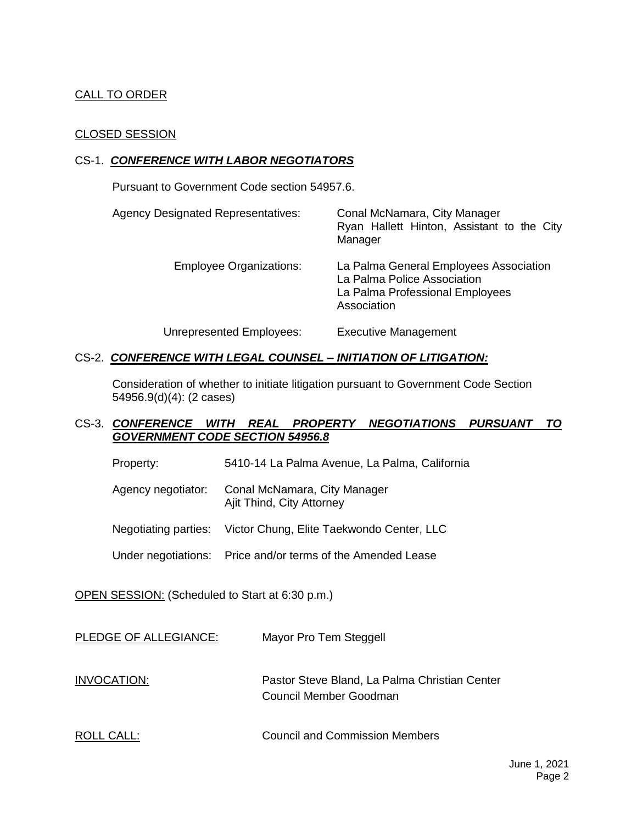# CALL TO ORDER

# CLOSED SESSION

# CS-1. *CONFERENCE WITH LABOR NEGOTIATORS*

Pursuant to Government Code section 54957.6.

| <b>Agency Designated Representatives:</b> | Conal McNamara, City Manager<br>Ryan Hallett Hinton, Assistant to the City<br>Manager                                   |
|-------------------------------------------|-------------------------------------------------------------------------------------------------------------------------|
| <b>Employee Organizations:</b>            | La Palma General Employees Association<br>La Palma Police Association<br>La Palma Professional Employees<br>Association |
| Unrepresented Employees:                  | <b>Executive Management</b>                                                                                             |

## CS-2. *CONFERENCE WITH LEGAL COUNSEL – INITIATION OF LITIGATION:*

Consideration of whether to initiate litigation pursuant to Government Code Section 54956.9(d)(4): (2 cases)

# CS-3. *CONFERENCE WITH REAL PROPERTY NEGOTIATIONS PURSUANT TO GOVERNMENT CODE SECTION 54956.8*

- Property: 5410-14 La Palma Avenue, La Palma, California
- Agency negotiator: Conal McNamara, City Manager Ajit Thind, City Attorney

Negotiating parties: Victor Chung, Elite Taekwondo Center, LLC

Under negotiations: Price and/or terms of the Amended Lease

OPEN SESSION: (Scheduled to Start at 6:30 p.m.)

| PLEDGE OF ALLEGIANCE: | Mayor Pro Tem Steggell                                                  |
|-----------------------|-------------------------------------------------------------------------|
| INVOCATION:           | Pastor Steve Bland, La Palma Christian Center<br>Council Member Goodman |
| ROLL CALL:            | <b>Council and Commission Members</b>                                   |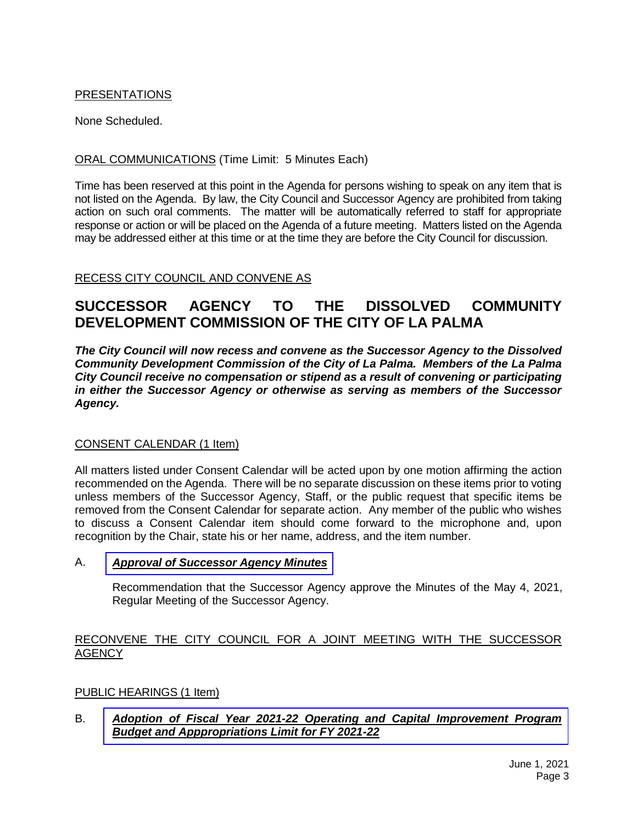# PRESENTATIONS

None Scheduled.

# ORAL COMMUNICATIONS (Time Limit: 5 Minutes Each)

Time has been reserved at this point in the Agenda for persons wishing to speak on any item that is not listed on the Agenda. By law, the City Council and Successor Agency are prohibited from taking action on such oral comments. The matter will be automatically referred to staff for appropriate response or action or will be placed on the Agenda of a future meeting. Matters listed on the Agenda may be addressed either at this time or at the time they are before the City Council for discussion.

# RECESS CITY COUNCIL AND CONVENE AS

# **SUCCESSOR AGENCY TO THE DISSOLVED COMMUNITY DEVELOPMENT COMMISSION OF THE CITY OF LA PALMA**

*The City Council will now recess and convene as the Successor Agency to the Dissolved Community Development Commission of the City of La Palma. Members of the La Palma City Council receive no compensation or stipend as a result of convening or participating in either the Successor Agency or otherwise as serving as members of the Successor Agency.*

## CONSENT CALENDAR (1 Item)

All matters listed under Consent Calendar will be acted upon by one motion affirming the action recommended on the Agenda. There will be no separate discussion on these items prior to voting unless members of the Successor Agency, Staff, or the public request that specific items be removed from the Consent Calendar for separate action. Any member of the public who wishes to discuss a Consent Calendar item should come forward to the microphone and, upon recognition by the Chair, state his or her name, address, and the item number.

# A. *Approval of [Successor](https://www.cityoflapalma.org/DocumentCenter/View/10952/Item-A_Successor-Agency-Minutes) Agency Minutes*

Recommendation that the Successor Agency approve the Minutes of the May 4, 2021, Regular Meeting of the Successor Agency.

## RECONVENE THE CITY COUNCIL FOR A JOINT MEETING WITH THE SUCCESSOR **AGENCY**

# PUBLIC HEARINGS (1 Item)

# B. *Adoption of Fiscal Year 2021-22 Operating and Capital Improvement Program [Budget and Apppropriations Limit for FY 2021-22](https://www.cityoflapalma.org/DocumentCenter/View/10968/Item-B_Budget-Adoption-Approp-Limit-2021-22-for-WEB)*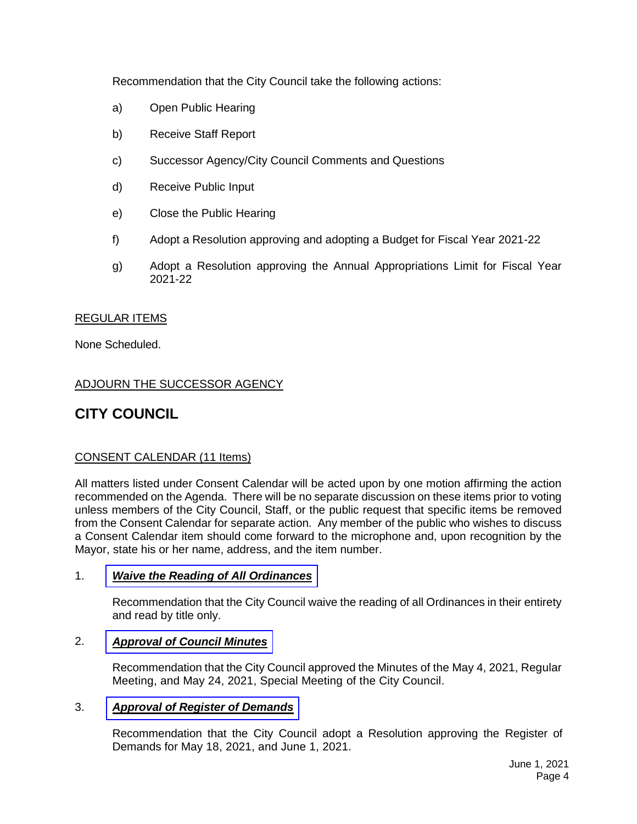Recommendation that the City Council take the following actions:

- a) Open Public Hearing
- b) Receive Staff Report
- c) Successor Agency/City Council Comments and Questions
- d) Receive Public Input
- e) Close the Public Hearing
- f) Adopt a Resolution approving and adopting a Budget for Fiscal Year 2021-22
- g) Adopt a Resolution approving the Annual Appropriations Limit for Fiscal Year 2021-22

# REGULAR ITEMS

None Scheduled.

# ADJOURN THE SUCCESSOR AGENCY

# **CITY COUNCIL**

# CONSENT CALENDAR (11 Items)

All matters listed under Consent Calendar will be acted upon by one motion affirming the action recommended on the Agenda. There will be no separate discussion on these items prior to voting unless members of the City Council, Staff, or the public request that specific items be removed from the Consent Calendar for separate action. Any member of the public who wishes to discuss a Consent Calendar item should come forward to the microphone and, upon recognition by the Mayor, state his or her name, address, and the item number.

## 1. *[Waive the Reading of All Ordinances](https://www.cityoflapalma.org/DocumentCenter/View/10953/Item-1_Read-Title-of-Ordinances)*

Recommendation that the City Council waive the reading of all Ordinances in their entirety and read by title only.

# 2. *[Approval of Council Minutes](https://www.cityoflapalma.org/DocumentCenter/View/10954/Item-2_City-Council-Minutes)*

Recommendation that the City Council approved the Minutes of the May 4, 2021, Regular Meeting, and May 24, 2021, Special Meeting of the City Council.

## 3. *[Approval of Register of Demands](https://www.cityoflapalma.org/DocumentCenter/View/10961/Item-3_CC-Warrants)*

Recommendation that the City Council adopt a Resolution approving the Register of Demands for May 18, 2021, and June 1, 2021.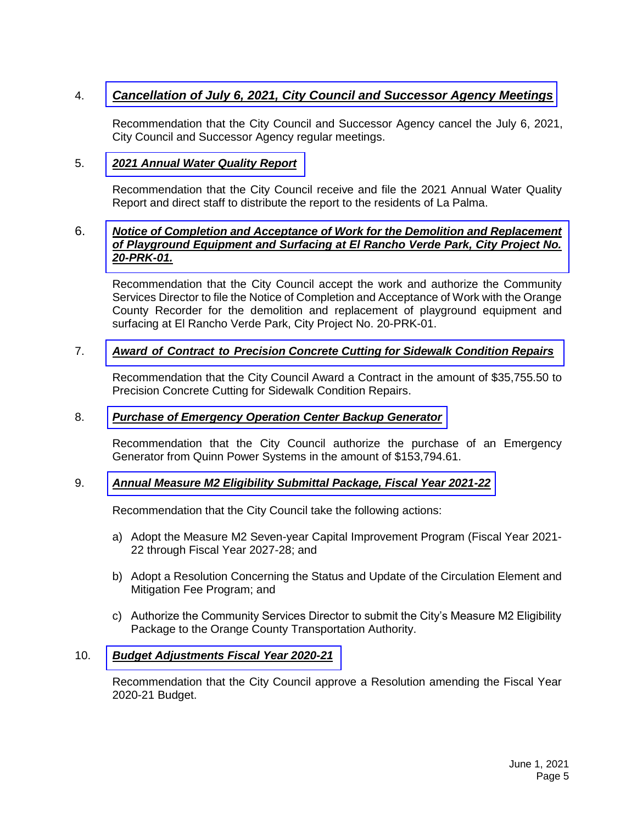# 4. *[Cancellation of July 6, 2021, City Council and Successor Agency Meetings](https://www.cityoflapalma.org/DocumentCenter/View/10955/Item-4_Cancellation-of-Meeting)*

Recommendation that the City Council and Successor Agency cancel the July 6, 2021, City Council and Successor Agency regular meetings.

## 5. *[2021 Annual Water Quality Report](https://www.cityoflapalma.org/DocumentCenter/View/10956/Item-5_Annual-Wtr-Quality-Report)*

Recommendation that the City Council receive and file the 2021 Annual Water Quality Report and direct staff to distribute the report to the residents of La Palma.

## 6. *[Notice of Completion and Acceptance of Work for the Demolition and Replacement](https://www.cityoflapalma.org/DocumentCenter/View/10948/Item-6_NOC-El-Rancho-Verde-Park)  of Playground Equipment and Surfacing at El Rancho Verde Park, City Project No. 20-PRK-01.*

Recommendation that the City Council accept the work and authorize the Community Services Director to file the Notice of Completion and Acceptance of Work with the Orange County Recorder for the demolition and replacement of playground equipment and surfacing at El Rancho Verde Park, City Project No. 20-PRK-01.

# 7. *Award of Contract to [Precision Concrete Cutting for Sidewalk Condition Repairs](https://www.cityoflapalma.org/DocumentCenter/View/10949/Item-7_Sidewalk-Repairs-AOC)*

Recommendation that the City Council Award a Contract in the amount of \$35,755.50 to Precision Concrete Cutting for Sidewalk Condition Repairs.

#### 8. *[Purchase of Emergency Operation Center Backup Generator](https://www.cityoflapalma.org/DocumentCenter/View/10950/Item-8_Emergency-Generator-Purchase)*

Recommendation that the City Council authorize the purchase of an Emergency Generator from Quinn Power Systems in the amount of \$153,794.61.

#### 9. *[Annual Measure M2 Eligibility Submittal Package, Fiscal Year 2021-22](https://www.cityoflapalma.org/DocumentCenter/View/10951/Item-9_Measure-M2-Eligibility-Package)*

Recommendation that the City Council take the following actions:

- a) Adopt the Measure M2 Seven-year Capital Improvement Program (Fiscal Year 2021- 22 through Fiscal Year 2027-28; and
- b) Adopt a Resolution Concerning the Status and Update of the Circulation Element and Mitigation Fee Program; and
- c) Authorize the Community Services Director to submit the City's Measure M2 Eligibility Package to the Orange County Transportation Authority.

#### 10. *[Budget Adjustments Fiscal Year 2020-21](https://www.cityoflapalma.org/DocumentCenter/View/10966/Item-10_FY-20-21-Budget-Adjustments)*

Recommendation that the City Council approve a Resolution amending the Fiscal Year 2020-21 Budget.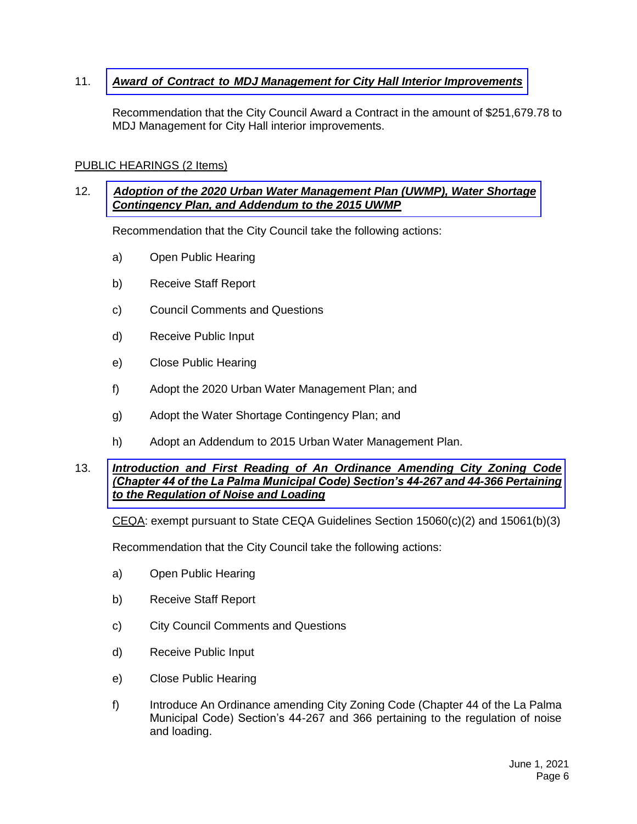# 11. *Award of Contract to [MDJ Management for City Hall Interior Improvements](https://www.cityoflapalma.org/DocumentCenter/View/10967/Item-11_City-Hall-Interior-Projects-AOC)*

Recommendation that the City Council Award a Contract in the amount of \$251,679.78 to MDJ Management for City Hall interior improvements.

#### PUBLIC HEARINGS (2 Items)

## 12. *[Adoption of the 2020 Urban Water Management Plan \(UWMP\), Water Shortage](https://www.cityoflapalma.org/DocumentCenter/View/10963/Item-12_UWMP-2020) Contingency Plan, and Addendum to the 2015 UWMP*

Recommendation that the City Council take the following actions:

- a) Open Public Hearing
- b) Receive Staff Report
- c) Council Comments and Questions
- d) Receive Public Input
- e) Close Public Hearing
- f) Adopt the 2020 Urban Water Management Plan; and
- g) Adopt the Water Shortage Contingency Plan; and
- h) Adopt an Addendum to 2015 Urban Water Management Plan.

#### 13. *Introduction and First Reading of An Ordinance Amending City Zoning Code [\(Chapter 44 of the La Palma Municipal Code\) Section's 44-267 and 44-366 Pertaining](https://www.cityoflapalma.org/DocumentCenter/View/10964/Item-13_Noise_and_Loading_Ordinance)  to the Regulation of Noise and Loading*

CEQA: exempt pursuant to State CEQA Guidelines Section 15060(c)(2) and 15061(b)(3)

Recommendation that the City Council take the following actions:

- a) Open Public Hearing
- b) Receive Staff Report
- c) City Council Comments and Questions
- d) Receive Public Input
- e) Close Public Hearing
- f) Introduce An Ordinance amending City Zoning Code (Chapter 44 of the La Palma Municipal Code) Section's 44-267 and 366 pertaining to the regulation of noise and loading.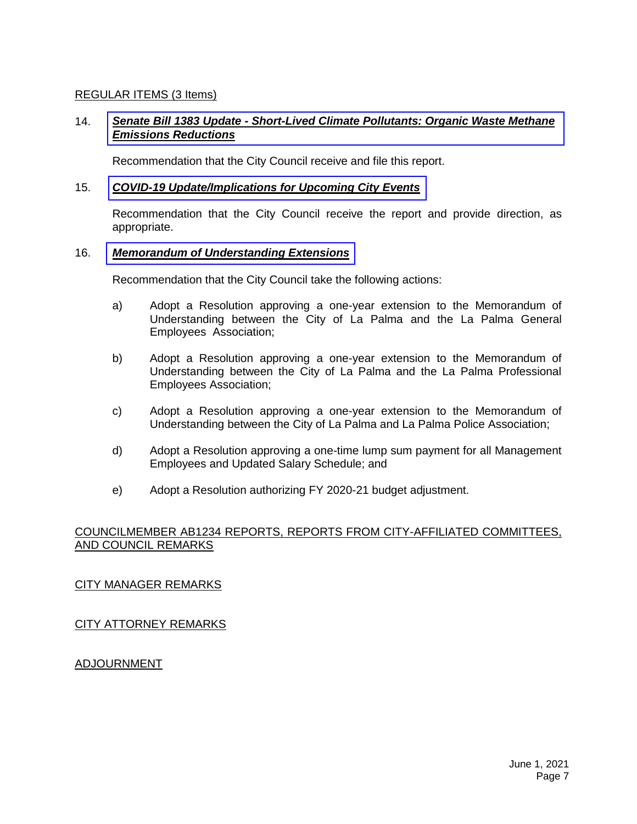# REGULAR ITEMS (3 Items)

# 14. *Senate Bill 1383 Update - [Short-Lived Climate Pollutants: Organic Waste Methane](https://www.cityoflapalma.org/DocumentCenter/View/10965/Item-14_Senate-Bill-1383-UPDATE)  Emissions Reductions*

Recommendation that the City Council receive and file this report.

#### 15. *[COVID-19 Update/Implications for Upcoming City Events](https://www.cityoflapalma.org/DocumentCenter/View/10962/Item-15_COVID-19-Update-6-1-21)*

Recommendation that the City Council receive the report and provide direction, as appropriate.

#### 16. *[Memorandum of Understanding Extensions](https://www.cityoflapalma.org/DocumentCenter/View/10969/Item-16_MOU-Extensions)*

Recommendation that the City Council take the following actions:

- a) Adopt a Resolution approving a one-year extension to the Memorandum of Understanding between the City of La Palma and the La Palma General Employees Association;
- b) Adopt a Resolution approving a one-year extension to the Memorandum of Understanding between the City of La Palma and the La Palma Professional Employees Association;
- c) Adopt a Resolution approving a one-year extension to the Memorandum of Understanding between the City of La Palma and La Palma Police Association;
- d) Adopt a Resolution approving a one-time lump sum payment for all Management Employees and Updated Salary Schedule; and
- e) Adopt a Resolution authorizing FY 2020-21 budget adjustment.

## COUNCILMEMBER AB1234 REPORTS, REPORTS FROM CITY-AFFILIATED COMMITTEES, AND COUNCIL REMARKS

## CITY MANAGER REMARKS

## CITY ATTORNEY REMARKS

## ADJOURNMENT